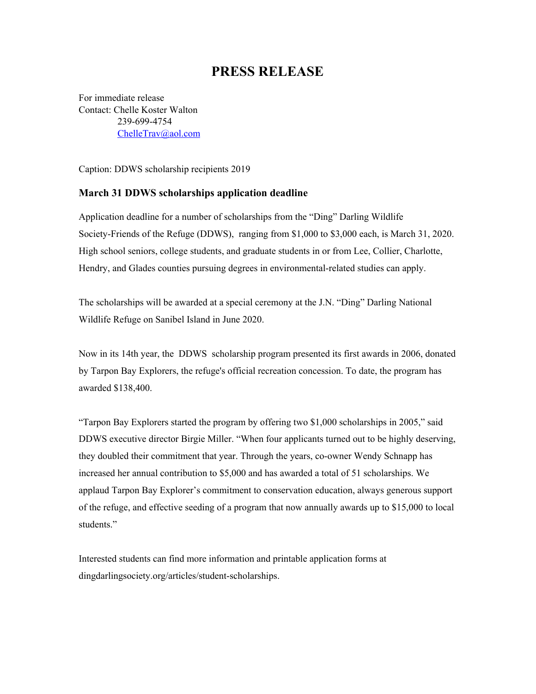## **PRESS RELEASE**

For immediate release Contact: Chelle Koster Walton 239-699-4754 [ChelleTrav@aol.com](mailto:ChelleTrav@aol.com)

Caption: DDWS scholarship recipients 2019

## **March 31 DDWS scholarships application deadline**

Application deadline for a number of scholarships from the "Ding" Darling Wildlife Society-Friends of the Refuge (DDWS), ranging from \$1,000 to \$3,000 each, is March 31, 2020. High school seniors, college students, and graduate students in or from Lee, Collier, Charlotte, Hendry, and Glades counties pursuing degrees in environmental-related studies can apply.

The scholarships will be awarded at a special ceremony at the J.N. "Ding" Darling National Wildlife Refuge on Sanibel Island in June 2020.

Now in its 14th year, the DDWS scholarship program presented its first awards in 2006, donated by Tarpon Bay Explorers, the refuge's official recreation concession. To date, the program has awarded \$138,400.

"Tarpon Bay Explorers started the program by offering two \$1,000 scholarships in 2005," said DDWS executive director Birgie Miller. "When four applicants turned out to be highly deserving, they doubled their commitment that year. Through the years, co-owner Wendy Schnapp has increased her annual contribution to \$5,000 and has awarded a total of 51 scholarships. We applaud Tarpon Bay Explorer's commitment to conservation education, always generous support of the refuge, and effective seeding of a program that now annually awards up to \$15,000 to local students."

Interested students can find more information and printable application forms at dingdarlingsociety.org/articles/student-scholarships.